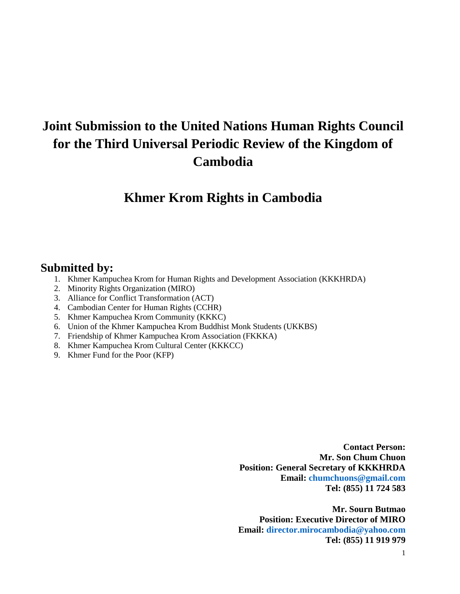# **Joint Submission to the United Nations Human Rights Council for the Third Universal Periodic Review of the Kingdom of Cambodia**

## **Khmer Krom Rights in Cambodia**

## **Submitted by:**

- 1. Khmer Kampuchea Krom for Human Rights and Development Association (KKKHRDA)
- 2. Minority Rights Organization (MIRO)
- 3. Alliance for Conflict Transformation (ACT)
- 4. Cambodian Center for Human Rights (CCHR)
- 5. Khmer Kampuchea Krom Community (KKKC)
- 6. Union of the Khmer Kampuchea Krom Buddhist Monk Students (UKKBS)
- 7. Friendship of Khmer Kampuchea Krom Association (FKKKA)
- 8. Khmer Kampuchea Krom Cultural Center (KKKCC)
- 9. Khmer Fund for the Poor (KFP)

**Contact Person: Mr. Son Chum Chuon Position: General Secretary of KKKHRDA Email: chumchuons@gmail.com Tel: (855) 11 724 583**

**Mr. Sourn Butmao Position: Executive Director of MIRO Email: director.mirocambodia@yahoo.com Tel: (855) 11 919 979**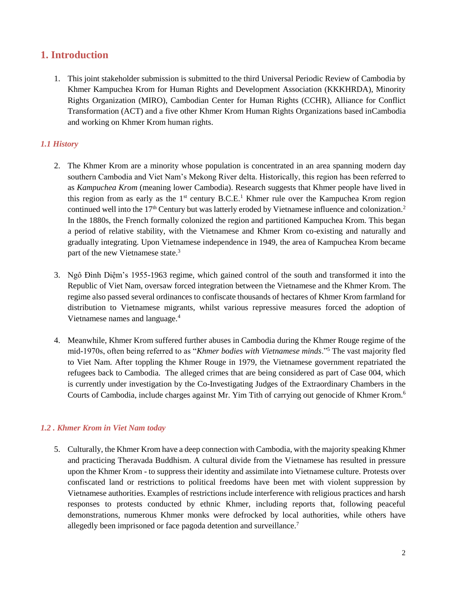## **1. Introduction**

1. This joint stakeholder submission is submitted to the third Universal Periodic Review of Cambodia by Khmer Kampuchea Krom for Human Rights and Development Association (KKKHRDA), Minority Rights Organization (MIRO), Cambodian Center for Human Rights (CCHR), Alliance for Conflict Transformation (ACT) and a five other Khmer Krom Human Rights Organizations based inCambodia and working on Khmer Krom human rights.

#### *1.1 History*

- 2. The Khmer Krom are a minority whose population is concentrated in an area spanning modern day southern Cambodia and Viet Nam's Mekong River delta. Historically, this region has been referred to as *Kampuchea Krom* (meaning lower Cambodia). Research suggests that Khmer people have lived in this region from as early as the  $1<sup>st</sup>$  century B.C.E.<sup>1</sup> Khmer rule over the Kampuchea Krom region continued well into the  $17<sup>th</sup>$  Century but was latterly eroded by Vietnamese influence and colonization.<sup>2</sup> In the 1880s, the French formally colonized the region and partitioned Kampuchea Krom. This began a period of relative stability, with the Vietnamese and Khmer Krom co-existing and naturally and gradually integrating. Upon Vietnamese independence in 1949, the area of Kampuchea Krom became part of the new Vietnamese state.<sup>3</sup>
- 3. Ngô Đình Diệm's 1955-1963 regime, which gained control of the south and transformed it into the Republic of Viet Nam, oversaw forced integration between the Vietnamese and the Khmer Krom. The regime also passed several ordinances to confiscate thousands of hectares of Khmer Krom farmland for distribution to Vietnamese migrants, whilst various repressive measures forced the adoption of Vietnamese names and language.<sup>4</sup>
- 4. Meanwhile, Khmer Krom suffered further abuses in Cambodia during the Khmer Rouge regime of the mid-1970s, often being referred to as "*Khmer bodies with Vietnamese minds*."<sup>5</sup> The vast majority fled to Viet Nam. After toppling the Khmer Rouge in 1979, the Vietnamese government repatriated the refugees back to Cambodia. The alleged crimes that are being considered as part of Case 004, which is currently under investigation by the Co-Investigating Judges of the Extraordinary Chambers in the Courts of Cambodia, include charges against Mr. Yim Tith of carrying out genocide of Khmer Krom.<sup>6</sup>

#### *1.2 . Khmer Krom in Viet Nam today*

5. Culturally, the Khmer Krom have a deep connection with Cambodia, with the majority speaking Khmer and practicing Theravada Buddhism. A cultural divide from the Vietnamese has resulted in pressure upon the Khmer Krom - to suppress their identity and assimilate into Vietnamese culture. Protests over confiscated land or restrictions to political freedoms have been met with violent suppression by Vietnamese authorities. Examples of restrictions include interference with religious practices and harsh responses to protests conducted by ethnic Khmer, including reports that, following peaceful demonstrations, numerous Khmer monks were defrocked by local authorities, while others have allegedly been imprisoned or face pagoda detention and surveillance.<sup>7</sup>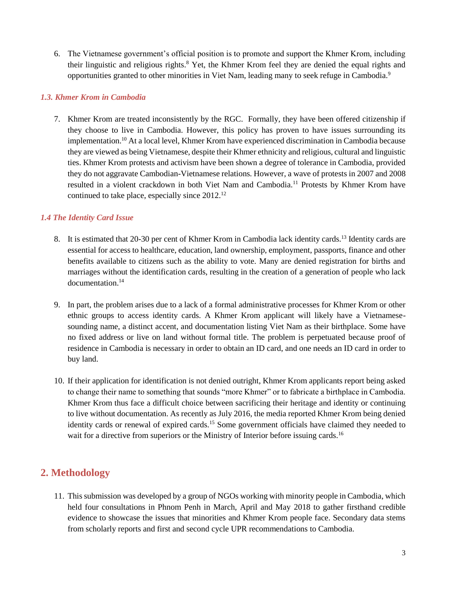6. The Vietnamese government's official position is to promote and support the Khmer Krom, including their linguistic and religious rights.<sup>8</sup> Yet, the Khmer Krom feel they are denied the equal rights and opportunities granted to other minorities in Viet Nam, leading many to seek refuge in Cambodia.<sup>9</sup>

#### *1.3. Khmer Krom in Cambodia*

7. Khmer Krom are treated inconsistently by the RGC. Formally, they have been offered citizenship if they choose to live in Cambodia. However, this policy has proven to have issues surrounding its implementation.<sup>10</sup> At a local level, Khmer Krom have experienced discrimination in Cambodia because they are viewed as being Vietnamese, despite their Khmer ethnicity and religious, cultural and linguistic ties. Khmer Krom protests and activism have been shown a degree of tolerance in Cambodia, provided they do not aggravate Cambodian-Vietnamese relations. However, a wave of protests in 2007 and 2008 resulted in a violent crackdown in both Viet Nam and Cambodia.<sup>11</sup> Protests by Khmer Krom have continued to take place, especially since 2012.<sup>12</sup>

#### *1.4 The Identity Card Issue*

- 8. It is estimated that 20-30 per cent of Khmer Krom in Cambodia lack identity cards.<sup>13</sup> Identity cards are essential for access to healthcare, education, land ownership, employment, passports, finance and other benefits available to citizens such as the ability to vote. Many are denied registration for births and marriages without the identification cards, resulting in the creation of a generation of people who lack documentation.<sup>14</sup>
- 9. In part, the problem arises due to a lack of a formal administrative processes for Khmer Krom or other ethnic groups to access identity cards. A Khmer Krom applicant will likely have a Vietnamesesounding name, a distinct accent, and documentation listing Viet Nam as their birthplace. Some have no fixed address or live on land without formal title. The problem is perpetuated because proof of residence in Cambodia is necessary in order to obtain an ID card, and one needs an ID card in order to buy land.
- 10. If their application for identification is not denied outright, Khmer Krom applicants report being asked to change their name to something that sounds "more Khmer" or to fabricate a birthplace in Cambodia. Khmer Krom thus face a difficult choice between sacrificing their heritage and identity or continuing to live without documentation. As recently as July 2016, the media reported Khmer Krom being denied identity cards or renewal of expired cards.<sup>15</sup> Some government officials have claimed they needed to wait for a directive from superiors or the Ministry of Interior before issuing cards.<sup>16</sup>

## **2. Methodology**

11. This submission was developed by a group of NGOs working with minority people in Cambodia, which held four consultations in Phnom Penh in March, April and May 2018 to gather firsthand credible evidence to showcase the issues that minorities and Khmer Krom people face. Secondary data stems from scholarly reports and first and second cycle UPR recommendations to Cambodia.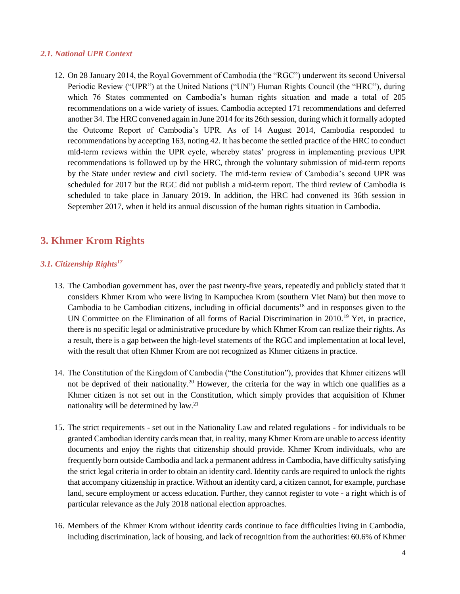#### *2.1. National UPR Context*

12. On 28 January 2014, the Royal Government of Cambodia (the "RGC") underwent its second Universal Periodic Review ("UPR") at the United Nations ("UN") Human Rights Council (the "HRC"), during which 76 States commented on Cambodia's human rights situation and made a total of 205 recommendations on a wide variety of issues. Cambodia accepted 171 recommendations and deferred another 34. The HRC convened again in June 2014 for its 26th session, during which it formally adopted the Outcome Report of Cambodia's UPR. As of 14 August 2014, Cambodia responded to recommendations by accepting 163, noting 42. It has become the settled practice of the HRC to conduct mid-term reviews within the UPR cycle, whereby states' progress in implementing previous UPR recommendations is followed up by the HRC, through the voluntary submission of mid-term reports by the State under review and civil society. The mid-term review of Cambodia's second UPR was scheduled for 2017 but the RGC did not publish a mid-term report. The third review of Cambodia is scheduled to take place in January 2019. In addition, the HRC had convened its 36th session in September 2017, when it held its annual discussion of the human rights situation in Cambodia.

## **3. Khmer Krom Rights**

#### *3.1. Citizenship Rights<sup>17</sup>*

- 13. The Cambodian government has, over the past twenty-five years, repeatedly and publicly stated that it considers Khmer Krom who were living in Kampuchea Krom (southern Viet Nam) but then move to Cambodia to be Cambodian citizens, including in official documents<sup>18</sup> and in responses given to the UN Committee on the Elimination of all forms of Racial Discrimination in 2010.<sup>19</sup> Yet, in practice, there is no specific legal or administrative procedure by which Khmer Krom can realize their rights. As a result, there is a gap between the high-level statements of the RGC and implementation at local level, with the result that often Khmer Krom are not recognized as Khmer citizens in practice.
- 14. The Constitution of the Kingdom of Cambodia ("the Constitution"), provides that Khmer citizens will not be deprived of their nationality.<sup>20</sup> However, the criteria for the way in which one qualifies as a Khmer citizen is not set out in the Constitution, which simply provides that acquisition of Khmer nationality will be determined by law.<sup>21</sup>
- 15. The strict requirements set out in the Nationality Law and related regulations for individuals to be granted Cambodian identity cards mean that, in reality, many Khmer Krom are unable to access identity documents and enjoy the rights that citizenship should provide. Khmer Krom individuals, who are frequently born outside Cambodia and lack a permanent address in Cambodia, have difficulty satisfying the strict legal criteria in order to obtain an identity card. Identity cards are required to unlock the rights that accompany citizenship in practice. Without an identity card, a citizen cannot, for example, purchase land, secure employment or access education. Further, they cannot register to vote - a right which is of particular relevance as the July 2018 national election approaches.
- 16. Members of the Khmer Krom without identity cards continue to face difficulties living in Cambodia, including discrimination, lack of housing, and lack of recognition from the authorities: 60.6% of Khmer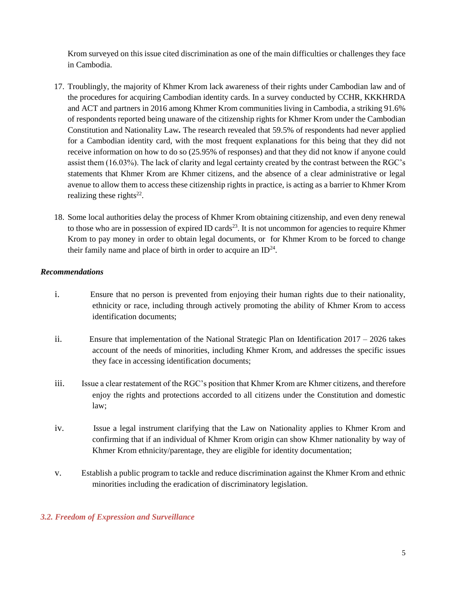Krom surveyed on this issue cited discrimination as one of the main difficulties or challenges they face in Cambodia.

- 17. Troublingly, the majority of Khmer Krom lack awareness of their rights under Cambodian law and of the procedures for acquiring Cambodian identity cards. In a survey conducted by CCHR, KKKHRDA and ACT and partners in 2016 among Khmer Krom communities living in Cambodia, a striking 91.6% of respondents reported being unaware of the citizenship rights for Khmer Krom under the Cambodian Constitution and Nationality Law*.* The research revealed that 59.5% of respondents had never applied for a Cambodian identity card, with the most frequent explanations for this being that they did not receive information on how to do so (25.95% of responses) and that they did not know if anyone could assist them (16.03%). The lack of clarity and legal certainty created by the contrast between the RGC's statements that Khmer Krom are Khmer citizens, and the absence of a clear administrative or legal avenue to allow them to access these citizenship rights in practice, is acting as a barrier to Khmer Krom realizing these rights<sup>22</sup>.
- 18. Some local authorities delay the process of Khmer Krom obtaining citizenship, and even deny renewal to those who are in possession of expired ID cards<sup>23</sup>. It is not uncommon for agencies to require Khmer Krom to pay money in order to obtain legal documents, or for Khmer Krom to be forced to change their family name and place of birth in order to acquire an  $ID^{24}$ .

#### *Recommendations*

- i. Ensure that no person is prevented from enjoying their human rights due to their nationality, ethnicity or race, including through actively promoting the ability of Khmer Krom to access identification documents;
- ii. Ensure that implementation of the National Strategic Plan on Identification 2017 2026 takes account of the needs of minorities, including Khmer Krom, and addresses the specific issues they face in accessing identification documents;
- iii. Issue a clear restatement of the RGC's position that Khmer Krom are Khmer citizens, and therefore enjoy the rights and protections accorded to all citizens under the Constitution and domestic law;
- iv. Issue a legal instrument clarifying that the Law on Nationality applies to Khmer Krom and confirming that if an individual of Khmer Krom origin can show Khmer nationality by way of Khmer Krom ethnicity/parentage, they are eligible for identity documentation;
- v. Establish a public program to tackle and reduce discrimination against the Khmer Krom and ethnic minorities including the eradication of discriminatory legislation.

#### *3.2. Freedom of Expression and Surveillance*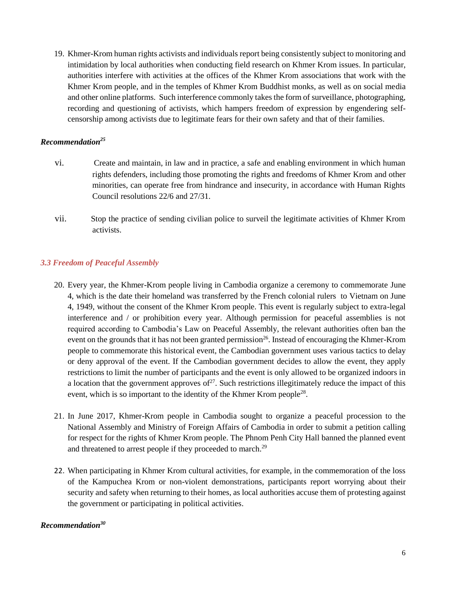19. Khmer-Krom human rights activists and individuals report being consistently subject to monitoring and intimidation by local authorities when conducting field research on Khmer Krom issues. In particular, authorities interfere with activities at the offices of the Khmer Krom associations that work with the Khmer Krom people, and in the temples of Khmer Krom Buddhist monks, as well as on social media and other online platforms. Such interference commonly takes the form of surveillance, photographing, recording and questioning of activists, which hampers freedom of expression by engendering selfcensorship among activists due to legitimate fears for their own safety and that of their families.

#### *Recommendation<sup>25</sup>*

- vi. Create and maintain, in law and in practice, a safe and enabling environment in which human rights defenders, including those promoting the rights and freedoms of Khmer Krom and other minorities, can operate free from hindrance and insecurity, in accordance with Human Rights Council resolutions 22/6 and 27/31.
- vii. Stop the practice of sending civilian police to surveil the legitimate activities of Khmer Krom activists.

#### *3.3 Freedom of Peaceful Assembly*

- 20. Every year, the Khmer-Krom people living in Cambodia organize a ceremony to commemorate June 4, which is the date their homeland was transferred by the French colonial rulers to Vietnam on June 4, 1949, without the consent of the Khmer Krom people. This event is regularly subject to extra-legal interference and / or prohibition every year. Although permission for peaceful assemblies is not required according to Cambodia's Law on Peaceful Assembly, the relevant authorities often ban the event on the grounds that it has not been granted permission<sup>26</sup>. Instead of encouraging the Khmer-Krom people to commemorate this historical event, the Cambodian government uses various tactics to delay or deny approval of the event. If the Cambodian government decides to allow the event, they apply restrictions to limit the number of participants and the event is only allowed to be organized indoors in a location that the government approves of  $27$ . Such restrictions illegitimately reduce the impact of this event, which is so important to the identity of the Khmer Krom people<sup>28</sup>.
- 21. In June 2017, Khmer-Krom people in Cambodia sought to organize a peaceful procession to the National Assembly and Ministry of Foreign Affairs of Cambodia in order to submit a petition calling for respect for the rights of Khmer Krom people. The Phnom Penh City Hall banned the planned event and threatened to arrest people if they proceeded to march.<sup>29</sup>
- 22. When participating in Khmer Krom cultural activities, for example, in the commemoration of the loss of the Kampuchea Krom or non-violent demonstrations, participants report worrying about their security and safety when returning to their homes, as local authorities accuse them of protesting against the government or participating in political activities.

#### *Recommendation<sup>30</sup>*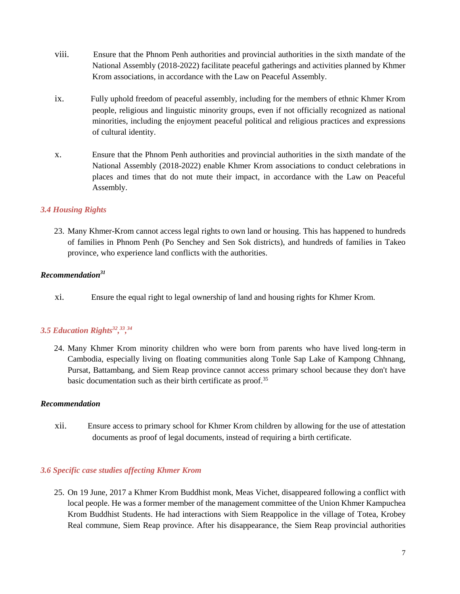- viii. Ensure that the Phnom Penh authorities and provincial authorities in the sixth mandate of the National Assembly (2018-2022) facilitate peaceful gatherings and activities planned by Khmer Krom associations, in accordance with the Law on Peaceful Assembly.
- ix. Fully uphold freedom of peaceful assembly, including for the members of ethnic Khmer Krom people, religious and linguistic minority groups, even if not officially recognized as national minorities, including the enjoyment peaceful political and religious practices and expressions of cultural identity.
- x. Ensure that the Phnom Penh authorities and provincial authorities in the sixth mandate of the National Assembly (2018-2022) enable Khmer Krom associations to conduct celebrations in places and times that do not mute their impact, in accordance with the Law on Peaceful Assembly.

#### *3.4 Housing Rights*

23. Many Khmer-Krom cannot access legal rights to own land or housing. This has happened to hundreds of families in Phnom Penh (Po Senchey and Sen Sok districts), and hundreds of families in Takeo province, who experience land conflicts with the authorities.

#### *Recommendation<sup>31</sup>*

xi. Ensure the equal right to legal ownership of land and housing rights for Khmer Krom.

#### *3.5 Education Rights<sup>32</sup> , 33 , 34*

24. Many Khmer Krom minority children who were born from parents who have lived long-term in Cambodia, especially living on floating communities along Tonle Sap Lake of Kampong Chhnang, Pursat, Battambang, and Siem Reap province cannot access primary school because they don't have basic documentation such as their birth certificate as proof.<sup>35</sup>

#### *Recommendation*

xii. Ensure access to primary school for Khmer Krom children by allowing for the use of attestation documents as proof of legal documents, instead of requiring a birth certificate.

#### *3.6 Specific case studies affecting Khmer Krom*

25. On 19 June, 2017 a Khmer Krom Buddhist monk, Meas Vichet, disappeared following a conflict with local people. He was a former member of the management committee of the Union Khmer Kampuchea Krom Buddhist Students. He had interactions with Siem Reappolice in the village of Totea, Krobey Real commune, Siem Reap province. After his disappearance, the Siem Reap provincial authorities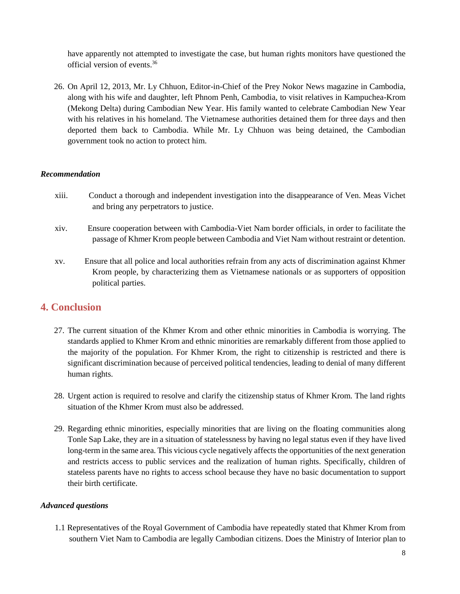have apparently not attempted to investigate the case, but human rights monitors have questioned the official version of events.<sup>36</sup>

26. On April 12, 2013, Mr. Ly Chhuon, Editor-in-Chief of the Prey Nokor News magazine in Cambodia, along with his wife and daughter, left Phnom Penh, Cambodia, to visit relatives in Kampuchea-Krom (Mekong Delta) during Cambodian New Year. His family wanted to celebrate Cambodian New Year with his relatives in his homeland. The Vietnamese authorities detained them for three days and then deported them back to Cambodia. While Mr. Ly Chhuon was being detained, the Cambodian government took no action to protect him.

#### *Recommendation*

- xiii. Conduct a thorough and independent investigation into the disappearance of Ven. Meas Vichet and bring any perpetrators to justice.
- xiv. Ensure cooperation between with Cambodia-Viet Nam border officials, in order to facilitate the passage of Khmer Krom people between Cambodia and Viet Nam without restraint or detention.
- xv. Ensure that all police and local authorities refrain from any acts of discrimination against Khmer Krom people, by characterizing them as Vietnamese nationals or as supporters of opposition political parties.

## **4. Conclusion**

- 27. The current situation of the Khmer Krom and other ethnic minorities in Cambodia is worrying. The standards applied to Khmer Krom and ethnic minorities are remarkably different from those applied to the majority of the population. For Khmer Krom, the right to citizenship is restricted and there is significant discrimination because of perceived political tendencies, leading to denial of many different human rights.
- 28. Urgent action is required to resolve and clarify the citizenship status of Khmer Krom. The land rights situation of the Khmer Krom must also be addressed.
- 29. Regarding ethnic minorities, especially minorities that are living on the floating communities along Tonle Sap Lake, they are in a situation of statelessness by having no legal status even if they have lived long-term in the same area. This vicious cycle negatively affects the opportunities of the next generation and restricts access to public services and the realization of human rights. Specifically, children of stateless parents have no rights to access school because they have no basic documentation to support their birth certificate.

#### *Advanced questions*

1.1 Representatives of the Royal Government of Cambodia have repeatedly stated that Khmer Krom from southern Viet Nam to Cambodia are legally Cambodian citizens. Does the Ministry of Interior plan to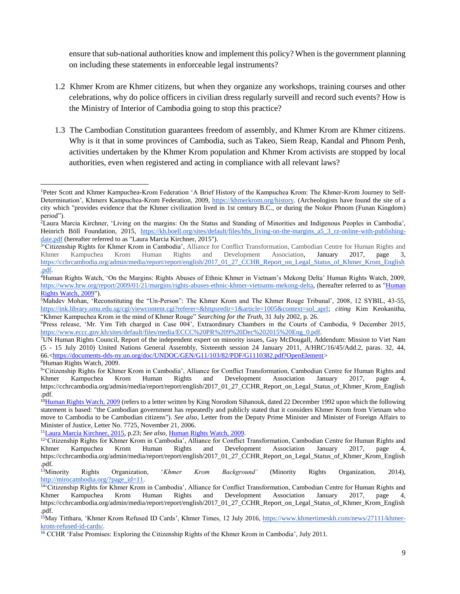ensure that sub-national authorities know and implement this policy? When is the government planning on including these statements in enforceable legal instruments?

- 1.2 Khmer Krom are Khmer citizens, but when they organize any workshops, training courses and other celebrations, why do police officers in civilian dress regularly surveill and record such events? How is the Ministry of Interior of Cambodia going to stop this practice?
- 1.3 The Cambodian Constitution guarantees freedom of assembly, and Khmer Krom are Khmer citizens. Why is it that in some provinces of Cambodia, such as Takeo, Siem Reap, Kandal and Phnom Penh, activities undertaken by the Khmer Krom population and Khmer Krom activists are stopped by local authorities, even when registered and acting in compliance with all relevant laws?

<sup>8</sup>Human Rights Watch, 2009.

<sup>11</sup>[Laura Marcia Kirchner, 2015,](http://bit.ly/1XFN911) p.23; *See also*[, Human Rights Watch, 2009.](http://bit.ly/2iRFZdM)

<sup>1</sup>Peter Scott and Khmer Kampuchea-Krom Federation 'A Brief History of the Kampuchea Krom: The Khmer-Krom Journey to Self-Determination', Khmers Kampuchea-Krom Federation, 2009, [https://khmerkrom.org/history.](https://khmerkrom.org/history) (Archeologists have found the site of a city which "provides evidence that the Khmer civilization lived in 1st century B.C., or during the Nokor Phnom (Funan Kingdom) period").  $\overline{\phantom{a}}$ 

<sup>&</sup>lt;sup>2</sup>Laura Marcia Kirchner, 'Living on the margins: On the Status and Standing of Minorities and Indigenous Peoples in Cambodia', Heinrich Böll Foundation, 2015, [https://kh.boell.org/sites/default/files/hbs\\_living-on-the-margins\\_a5\\_3\\_rz-online-with-publishing](https://kh.boell.org/sites/default/files/hbs_living-on-the-margins_a5_3_rz-online-with-publishing-date.pdf)[date.pdf](https://kh.boell.org/sites/default/files/hbs_living-on-the-margins_a5_3_rz-online-with-publishing-date.pdf) (hereafter referred to as "Laura Marcia Kirchner, 2015").

<sup>&</sup>lt;sup>3</sup> Citizenship Rights for Khmer Krom in Cambodia', Alliance for Conflict Transformation, Cambodian Centre for Human Rights and Khmer Kampuchea Krom Human Rights and Development Association, January 2017, [page 3,](https://cchrcambodia.org/admin/media/report/report/english/2017_01_27_CCHR_Report_on_Legal_Status_of_Khmer_Krom_English.pdf)  [https://cchrcambodia.org/admin/media/report/report/english/2017\\_01\\_27\\_CCHR\\_Report\\_on\\_Legal\\_Status\\_of\\_Khmer\\_Krom\\_English](https://cchrcambodia.org/admin/media/report/report/english/2017_01_27_CCHR_Report_on_Legal_Status_of_Khmer_Krom_English.pdf) [.pdf.](https://cchrcambodia.org/admin/media/report/report/english/2017_01_27_CCHR_Report_on_Legal_Status_of_Khmer_Krom_English.pdf)

<sup>4</sup>Human Rights Watch, 'On the Margins: Rights Abuses of Ethnic Khmer in Vietnam's Mekong Delta' Human Rights Watch, 2009, [https://www.hrw.org/report/2009/01/21/margins/rights-abuses-ethnic-khmer-vietnams-mekong-delta,](https://www.hrw.org/report/2009/01/21/margins/rights-abuses-ethnic-khmer-vietnams-mekong-delta) (hereafter referred to as ["Human](http://bit.ly/2iRFZdM)  [Rights Watch, 2009"](http://bit.ly/2iRFZdM)).

<sup>5</sup>Mahdev Mohan, 'Reconstituting the "Un-Person": The Khmer Krom and The Khmer Rouge Tribunal', 2008, 12 SYBIL, 43-55, [https://ink.library.smu.edu.sg/cgi/viewcontent.cgi?referer=&httpsredir=1&article=1005&context=sol\\_aprl;](https://ink.library.smu.edu.sg/cgi/viewcontent.cgi?referer=&httpsredir=1&article=1005&context=sol_aprl) *citing* Kim Keokanitha, "Khmer Kampuchea Krom in the mind of Khmer Rouge" *Searching for the Truth*, 31 July 2002, p. 26.

<sup>6</sup>Press release, 'Mr. Yim Tith charged in Case 004', Extraordinary Chambers in the Courts of Cambodia, 9 December 2015, https://www.eccc.gov.kh/sites/default/files/media/ECCC%20PR%209%20Dec%202015%20Eng\_0.pdf.

<sup>7</sup>UN Human Rights Council, Report of the independent expert on minority issues, Gay McDougall, Addendum: Mission to Viet Nam (5 - 15 July 2010) United Nations General Assembly, Sixteenth session 24 January 2011, A/HRC/16/45/Add.2, paras. 32, 44, 66.[<https://documents-dds-ny.un.org/doc/UNDOC/GEN/G11/103/82/PDF/G1110382.pdf?OpenElement>](https://documents-dds-ny.un.org/doc/UNDOC/GEN/G11/103/82/PDF/G1110382.pdf?OpenElement)

<sup>&</sup>lt;sup>9</sup>'Citizenship Rights for Khmer Krom in Cambodia', Alliance for Conflict Transformation, Cambodian Centre for Human Rights and Khmer Kampuchea Krom Human Rights and Development Association January 2017, [page 4,](https://cchrcambodia.org/admin/media/report/report/english/2017_01_27_CCHR_Report_on_Legal_Status_of_Khmer_Krom_English.pdf)  [https://cchrcambodia.org/admin/media/report/report/english/2017\\_01\\_27\\_CCHR\\_Report\\_on\\_Legal\\_Status\\_of\\_Khmer\\_Krom\\_English](https://cchrcambodia.org/admin/media/report/report/english/2017_01_27_CCHR_Report_on_Legal_Status_of_Khmer_Krom_English.pdf) [.pdf.](https://cchrcambodia.org/admin/media/report/report/english/2017_01_27_CCHR_Report_on_Legal_Status_of_Khmer_Krom_English.pdf)

 $10$ [Human Rights Watch, 2009](http://bit.ly/2iRFZdM) (refers to a letter written by King Norodom Sihanouk, dated 22 December 1992 upon which the following statement is based: "the Cambodian government has repeatedly and publicly stated that it considers Khmer Krom from Vietnam who move to Cambodia to be Cambodian citizens"). *See also*, Letter from the Deputy Prime Minister and Minister of Foreign Affairs to Minister of Justice, Letter No. 7725, November 21, 2006.

<sup>&</sup>lt;sup>12</sup>'Citizenship Rights for Khmer Krom in Cambodia', Alliance for Conflict Transformation, Cambodian Centre for Human Rights and Khmer Kampuchea Krom Human Rights and Development Association January 2017, [page 4,](https://cchrcambodia.org/admin/media/report/report/english/2017_01_27_CCHR_Report_on_Legal_Status_of_Khmer_Krom_English.pdf)  [https://cchrcambodia.org/admin/media/report/report/english/2017\\_01\\_27\\_CCHR\\_Report\\_on\\_Legal\\_Status\\_of\\_Khmer\\_Krom\\_English](https://cchrcambodia.org/admin/media/report/report/english/2017_01_27_CCHR_Report_on_Legal_Status_of_Khmer_Krom_English.pdf) [.pdf.](https://cchrcambodia.org/admin/media/report/report/english/2017_01_27_CCHR_Report_on_Legal_Status_of_Khmer_Krom_English.pdf)<br><sup>13</sup>Minority

<sup>13</sup>Minority Rights Organization, '*Khmer Krom Background'* (Minority Rights Organization, 2014), [http://mirocambodia.org/?page\\_id=11.](http://mirocambodia.org/?page_id=11)

<sup>14</sup>'Citizenship Rights for Khmer Krom in Cambodia', Alliance for Conflict Transformation, Cambodian Centre for Human Rights and Khmer Kampuchea Krom Human Rights and Development Association January 2017, [page 4,](https://cchrcambodia.org/admin/media/report/report/english/2017_01_27_CCHR_Report_on_Legal_Status_of_Khmer_Krom_English.pdf)  [https://cchrcambodia.org/admin/media/report/report/english/2017\\_01\\_27\\_CCHR\\_Report\\_on\\_Legal\\_Status\\_of\\_Khmer\\_Krom\\_English](https://cchrcambodia.org/admin/media/report/report/english/2017_01_27_CCHR_Report_on_Legal_Status_of_Khmer_Krom_English.pdf) [.pdf.](https://cchrcambodia.org/admin/media/report/report/english/2017_01_27_CCHR_Report_on_Legal_Status_of_Khmer_Krom_English.pdf)

<sup>&</sup>lt;sup>15</sup>May Titthara, 'Khmer Krom Refused ID Cards', Khmer Times, 12 July 2016, [https://www.khmertimeskh.com/news/27111/khmer](https://www.khmertimeskh.com/news/27111/khmer-krom-refused-id-cards/)[krom-refused-id-cards/.](https://www.khmertimeskh.com/news/27111/khmer-krom-refused-id-cards/)

<sup>&</sup>lt;sup>16</sup> CCHR 'False Promises: Exploring the Citizenship Rights of the Khmer Krom in Cambodia', July 2011.